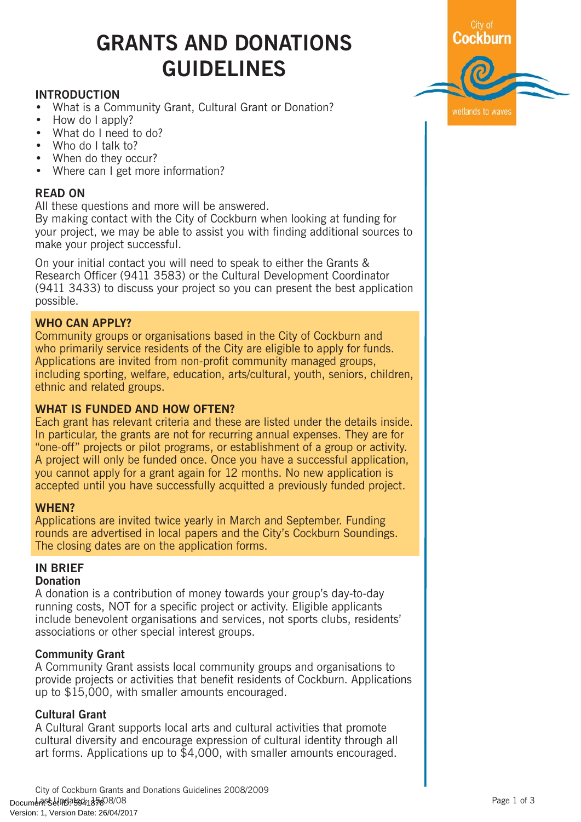# GRANTS AND DONATIONS GUIDELINES

# INTRODUCTION

- What is a Community Grant, Cultural Grant or Donation?
- How do I apply?
- What do I need to do?
- Who do I talk to?
- When do they occur?
- Where can I get more information?

## READ ON

All these questions and more will be answered.

By making contact with the City of Cockburn when looking at funding for your project, we may be able to assist you with finding additional sources to make your project successful.

On your initial contact you will need to speak to either the Grants & Research Officer (9411 3583) or the Cultural Development Coordinator (9411 3433) to discuss your project so you can present the best application possible.

# WHO CAN APPLY?

Community groups or organisations based in the City of Cockburn and who primarily service residents of the City are eligible to apply for funds. Applications are invited from non-profit community managed groups, including sporting, welfare, education, arts/cultural, youth, seniors, children, ethnic and related groups.

## WHAT IS FUNDED AND HOW OFTEN?

Each grant has relevant criteria and these are listed under the details inside. In particular, the grants are not for recurring annual expenses. They are for "one-off" projects or pilot programs, or establishment of a group or activity. A project will only be funded once. Once you have a successful application, you cannot apply for a grant again for 12 months. No new application is accepted until you have successfully acquitted a previously funded project.

## WHEN?

Applications are invited twice yearly in March and September. Funding rounds are advertised in local papers and the City's Cockburn Soundings. The closing dates are on the application forms.

#### IN BRIEF **Donation**

A donation is a contribution of money towards your group's day-to-day running costs, NOT for a specific project or activity. Eligible applicants include benevolent organisations and services, not sports clubs, residents' associations or other special interest groups.

## Community Grant

A Community Grant assists local community groups and organisations to provide projects or activities that benefit residents of Cockburn. Applications up to \$15,000, with smaller amounts encouraged.

## Cultural Grant

A Cultural Grant supports local arts and cultural activities that promote cultural diversity and encourage expression of cultural identity through all art forms. Applications up to \$4,000, with smaller amounts encouraged.

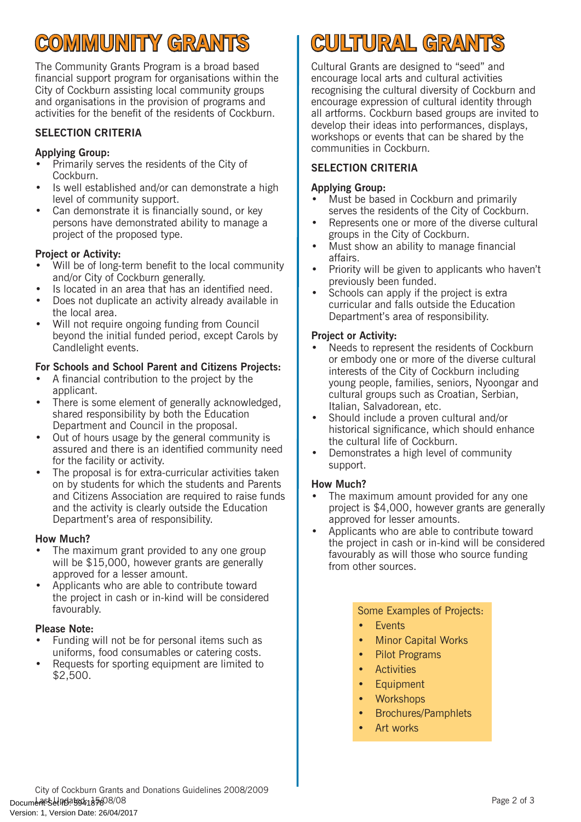# COMMUNITY GRANTS

The Community Grants Program is a broad based financial support program for organisations within the City of Cockburn assisting local community groups and organisations in the provision of programs and activities for the benefit of the residents of Cockburn.

# SELECTION CRITERIA

# Applying Group:

- Primarily serves the residents of the City of Cockburn.
- Is well established and/or can demonstrate a high level of community support.
- Can demonstrate it is financially sound, or key persons have demonstrated ability to manage a project of the proposed type.

# Project or Activity:

- Will be of long-term benefit to the local community and/or City of Cockburn generally.
- Is located in an area that has an identified need.
- Does not duplicate an activity already available in the local area.
- Will not require ongoing funding from Council beyond the initial funded period, except Carols by Candlelight events.

# For Schools and School Parent and Citizens Projects:

- A financial contribution to the project by the applicant.
- There is some element of generally acknowledged. shared responsibility by both the Education Department and Council in the proposal.
- Out of hours usage by the general community is assured and there is an identified community need for the facility or activity.
- The proposal is for extra-curricular activities taken on by students for which the students and Parents and Citizens Association are required to raise funds and the activity is clearly outside the Education Department's area of responsibility.

# How Much?

- The maximum grant provided to any one group will be \$15,000, however grants are generally approved for a lesser amount.
- Applicants who are able to contribute toward the project in cash or in-kind will be considered favourably.

## Please Note:

- Funding will not be for personal items such as uniforms, food consumables or catering costs.
- Requests for sporting equipment are limited to \$2,500.

# CULTURAL GRANTS

Cultural Grants are designed to "seed" and encourage local arts and cultural activities recognising the cultural diversity of Cockburn and encourage expression of cultural identity through all artforms. Cockburn based groups are invited to develop their ideas into performances, displays, workshops or events that can be shared by the communities in Cockburn.

# SELECTION CRITERIA

## Applying Group:

- Must be based in Cockburn and primarily serves the residents of the City of Cockburn.
- Represents one or more of the diverse cultural groups in the City of Cockburn.
- Must show an ability to manage financial affairs.
- Priority will be given to applicants who haven't previously been funded.
- Schools can apply if the project is extra curricular and falls outside the Education Department's area of responsibility.

# Project or Activity:

- Needs to represent the residents of Cockburn or embody one or more of the diverse cultural interests of the City of Cockburn including young people, families, seniors, Nyoongar and cultural groups such as Croatian, Serbian, Italian, Salvadorean, etc.
- Should include a proven cultural and/or historical significance, which should enhance the cultural life of Cockburn.
- Demonstrates a high level of community support.

## How Much?

- The maximum amount provided for any one project is \$4,000, however grants are generally approved for lesser amounts.
- Applicants who are able to contribute toward the project in cash or in-kind will be considered favourably as will those who source funding from other sources.

## Some Examples of Projects:

- Events
- Minor Capital Works
- Pilot Programs
- Activities
- Equipment
- **Workshops**
- Brochures/Pamphlets
- Art works